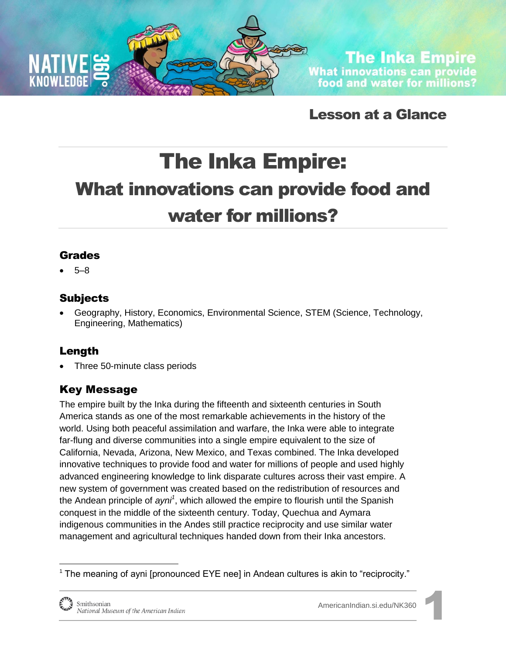

**The Inka Empire** What innovations can provide<br>food and water for millions?

Lesson at a Glance

# The Inka Empire: What innovations can provide food and water for millions?

## Grades

5–8

# Subjects

 Geography, History, Economics, Environmental Science, STEM (Science, Technology, Engineering, Mathematics)

# Length

Three 50-minute class periods

# Key Message

The empire built by the Inka during the fifteenth and sixteenth centuries in South America stands as one of the most remarkable achievements in the history of the world. Using both peaceful assimilation and warfare, the Inka were able to integrate far-flung and diverse communities into a single empire equivalent to the size of California, Nevada, Arizona, New Mexico, and Texas combined. The Inka developed innovative techniques to provide food and water for millions of people and used highly advanced engineering knowledge to link disparate cultures across their vast empire. A new system of government was created based on the redistribution of resources and the Andean principle of *ayni<sup>1</sup>* , which allowed the empire to flourish until the Spanish conquest in the middle of the sixteenth century. Today, Quechua and Aymara indigenous communities in the Andes still practice reciprocity and use similar water management and agricultural techniques handed down from their Inka ancestors.

 $1$  The meaning of ayni [pronounced EYE nee] in Andean cultures is akin to "reciprocity."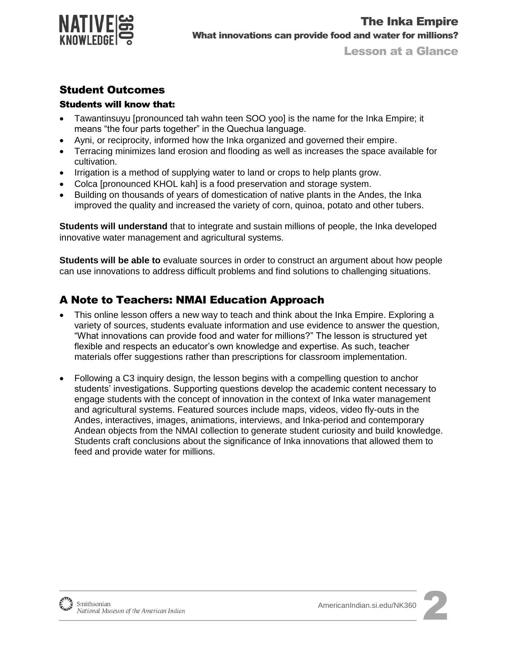

### Student Outcomes

#### Students will know that:

- Tawantinsuyu [pronounced tah wahn teen SOO yoo] is the name for the Inka Empire; it means "the four parts together" in the Quechua language.
- Ayni, or reciprocity, informed how the Inka organized and governed their empire.
- Terracing minimizes land erosion and flooding as well as increases the space available for cultivation.
- Irrigation is a method of supplying water to land or crops to help plants grow.
- Colca [pronounced KHOL kah] is a food preservation and storage system.
- Building on thousands of years of domestication of native plants in the Andes, the Inka improved the quality and increased the variety of corn, quinoa, potato and other tubers.

**Students will understand** that to integrate and sustain millions of people, the Inka developed innovative water management and agricultural systems.

**Students will be able to** evaluate sources in order to construct an argument about how people can use innovations to address difficult problems and find solutions to challenging situations.

## A Note to Teachers: NMAI Education Approach

- This online lesson offers a new way to teach and think about the Inka Empire. Exploring a variety of sources, students evaluate information and use evidence to answer the question, "What innovations can provide food and water for millions?" The lesson is structured yet flexible and respects an educator's own knowledge and expertise. As such, teacher materials offer suggestions rather than prescriptions for classroom implementation.
- Following a C3 inquiry design, the lesson begins with a compelling question to anchor students' investigations. Supporting questions develop the academic content necessary to engage students with the concept of innovation in the context of Inka water management and agricultural systems. Featured sources include maps, videos, video fly-outs in the Andes, interactives, images, animations, interviews, and Inka-period and contemporary Andean objects from the NMAI collection to generate student curiosity and build knowledge. Students craft conclusions about the significance of Inka innovations that allowed them to feed and provide water for millions.



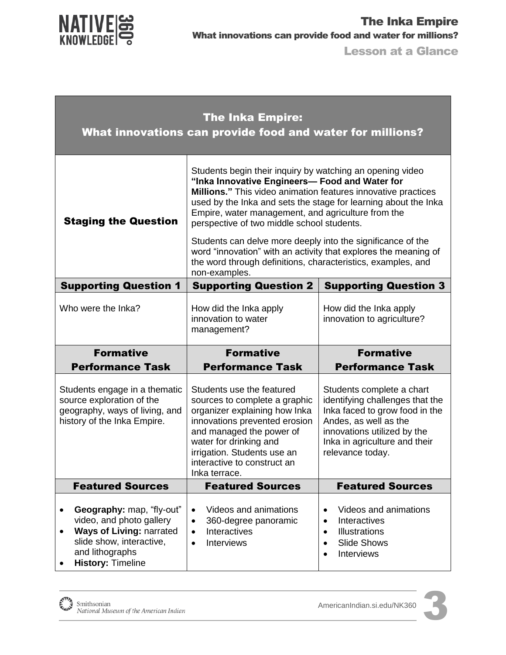

| <b>The Inka Empire:</b><br>What innovations can provide food and water for millions?                                                                                                                |                                                                                                                                                                                                                                                                                                                                                                                                                                                                                                                                                                               |                                                                                                                                                                                                             |  |
|-----------------------------------------------------------------------------------------------------------------------------------------------------------------------------------------------------|-------------------------------------------------------------------------------------------------------------------------------------------------------------------------------------------------------------------------------------------------------------------------------------------------------------------------------------------------------------------------------------------------------------------------------------------------------------------------------------------------------------------------------------------------------------------------------|-------------------------------------------------------------------------------------------------------------------------------------------------------------------------------------------------------------|--|
| <b>Staging the Question</b>                                                                                                                                                                         | Students begin their inquiry by watching an opening video<br>"Inka Innovative Engineers- Food and Water for<br><b>Millions."</b> This video animation features innovative practices<br>used by the Inka and sets the stage for learning about the Inka<br>Empire, water management, and agriculture from the<br>perspective of two middle school students.<br>Students can delve more deeply into the significance of the<br>word "innovation" with an activity that explores the meaning of<br>the word through definitions, characteristics, examples, and<br>non-examples. |                                                                                                                                                                                                             |  |
|                                                                                                                                                                                                     |                                                                                                                                                                                                                                                                                                                                                                                                                                                                                                                                                                               |                                                                                                                                                                                                             |  |
| <b>Supporting Question 1</b>                                                                                                                                                                        | <b>Supporting Question 2</b>                                                                                                                                                                                                                                                                                                                                                                                                                                                                                                                                                  | <b>Supporting Question 3</b>                                                                                                                                                                                |  |
| Who were the Inka?                                                                                                                                                                                  | How did the Inka apply<br>innovation to water<br>management?                                                                                                                                                                                                                                                                                                                                                                                                                                                                                                                  | How did the Inka apply<br>innovation to agriculture?                                                                                                                                                        |  |
| <b>Formative</b>                                                                                                                                                                                    | <b>Formative</b>                                                                                                                                                                                                                                                                                                                                                                                                                                                                                                                                                              | <b>Formative</b>                                                                                                                                                                                            |  |
| <b>Performance Task</b>                                                                                                                                                                             | <b>Performance Task</b>                                                                                                                                                                                                                                                                                                                                                                                                                                                                                                                                                       | <b>Performance Task</b>                                                                                                                                                                                     |  |
| Students engage in a thematic<br>source exploration of the<br>geography, ways of living, and<br>history of the Inka Empire.                                                                         | Students use the featured<br>sources to complete a graphic<br>organizer explaining how Inka<br>innovations prevented erosion<br>and managed the power of<br>water for drinking and<br>irrigation. Students use an<br>interactive to construct an<br>Inka terrace.                                                                                                                                                                                                                                                                                                             | Students complete a chart<br>identifying challenges that the<br>Inka faced to grow food in the<br>Andes, as well as the<br>innovations utilized by the<br>Inka in agriculture and their<br>relevance today. |  |
| <b>Featured Sources</b>                                                                                                                                                                             | <b>Featured Sources</b>                                                                                                                                                                                                                                                                                                                                                                                                                                                                                                                                                       | <b>Featured Sources</b>                                                                                                                                                                                     |  |
| Geography: map, "fly-out"<br>$\bullet$<br>video, and photo gallery<br>Ways of Living: narrated<br>$\bullet$<br>slide show, interactive,<br>and lithographs<br><b>History: Timeline</b><br>$\bullet$ | Videos and animations<br>$\bullet$<br>360-degree panoramic<br>٠<br>Interactives<br>$\bullet$<br>Interviews<br>$\bullet$                                                                                                                                                                                                                                                                                                                                                                                                                                                       | Videos and animations<br>$\bullet$<br>Interactives<br>$\bullet$<br><b>Illustrations</b><br>$\bullet$<br><b>Slide Shows</b><br>$\bullet$<br><b>Interviews</b><br>$\bullet$                                   |  |

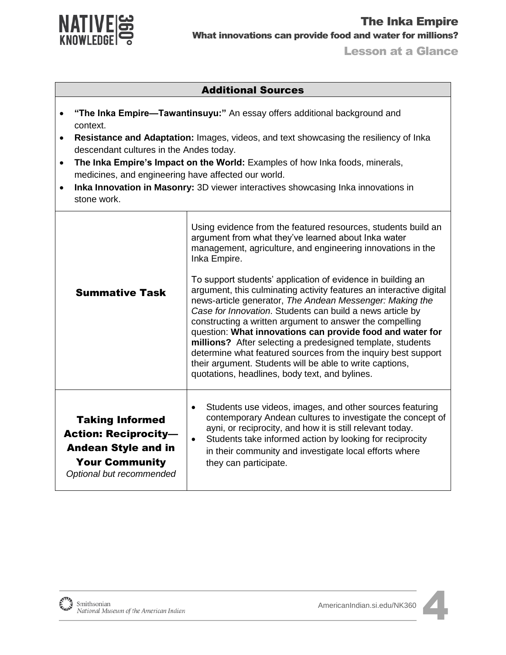

#### Additional Sources **"The Inka Empire—Tawantinsuyu:"** An essay offers additional background and context. **Resistance and Adaptation:** Images, videos, and text showcasing the resiliency of Inka descendant cultures in the Andes today. **The Inka Empire's Impact on the World:** Examples of how Inka foods, minerals, medicines, and engineering have affected our world. **Inka Innovation in Masonry:** 3D viewer interactives showcasing Inka innovations in stone work. Summative Task Using evidence from the featured resources, students build an argument from what they've learned about Inka water management, agriculture, and engineering innovations in the Inka Empire. To support students' application of evidence in building an argument, this culminating activity features an interactive digital news-article generator, *The Andean Messenger: Making the Case for Innovation*. Students can build a news article by constructing a written argument to answer the compelling question: **What innovations can provide food and water for millions?** After selecting a predesigned template, students determine what featured sources from the inquiry best support their argument. Students will be able to write captions, quotations, headlines, body text, and bylines. Taking Informed Action: Reciprocity— Andean Style and in Your Community *Optional but recommended* Students use videos, images, and other sources featuring contemporary Andean cultures to investigate the concept of ayni, or reciprocity, and how it is still relevant today. • Students take informed action by looking for reciprocity in their community and investigate local efforts where they can participate.

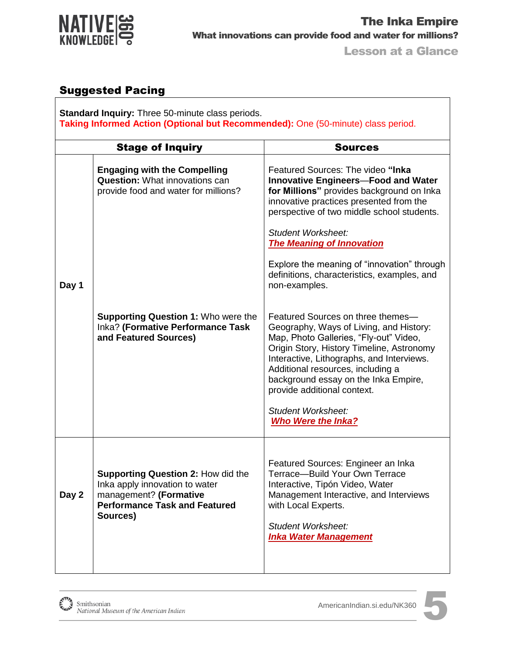

# Suggested Pacing

**Standard Inquiry:** Three 50-minute class periods. **Taking Informed Action (Optional but Recommended):** One (50-minute) class period.

| <b>Stage of Inquiry</b>                                                                                                                                   | <b>Sources</b>                                                                                                                                                                                                                                                                                                               |
|-----------------------------------------------------------------------------------------------------------------------------------------------------------|------------------------------------------------------------------------------------------------------------------------------------------------------------------------------------------------------------------------------------------------------------------------------------------------------------------------------|
| <b>Engaging with the Compelling</b><br><b>Question:</b> What innovations can<br>provide food and water for millions?                                      | Featured Sources: The video "Inka<br><b>Innovative Engineers-Food and Water</b><br>for Millions" provides background on Inka<br>innovative practices presented from the<br>perspective of two middle school students.                                                                                                        |
|                                                                                                                                                           | Student Worksheet:<br><b>The Meaning of Innovation</b>                                                                                                                                                                                                                                                                       |
|                                                                                                                                                           | Explore the meaning of "innovation" through<br>definitions, characteristics, examples, and<br>non-examples.                                                                                                                                                                                                                  |
| <b>Supporting Question 1: Who were the</b><br>Inka? (Formative Performance Task<br>and Featured Sources)                                                  | Featured Sources on three themes-<br>Geography, Ways of Living, and History:<br>Map, Photo Galleries, "Fly-out" Video,<br>Origin Story, History Timeline, Astronomy<br>Interactive, Lithographs, and Interviews.<br>Additional resources, including a<br>background essay on the Inka Empire,<br>provide additional context. |
|                                                                                                                                                           | Student Worksheet:<br><b>Who Were the Inka?</b>                                                                                                                                                                                                                                                                              |
| <b>Supporting Question 2: How did the</b><br>Inka apply innovation to water<br>management? (Formative<br><b>Performance Task and Featured</b><br>Sources) | Featured Sources: Engineer an Inka<br>Terrace-Build Your Own Terrace<br>Interactive, Tipón Video, Water<br>Management Interactive, and Interviews<br>with Local Experts.<br><b>Student Worksheet:</b><br><b>Inka Water Management</b>                                                                                        |
|                                                                                                                                                           |                                                                                                                                                                                                                                                                                                                              |